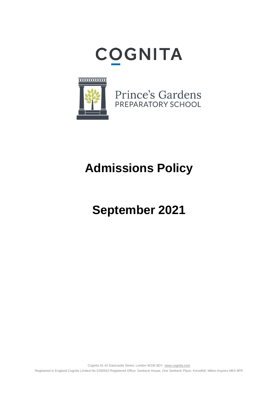# **COGNITA**



Prince's Gardens PREPARATORY SCHOOL

# **Admissions Policy**

## **September 2021**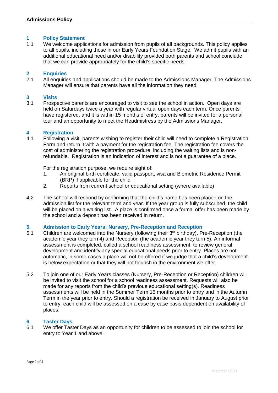### **1 Policy Statement**

We welcome applications for admission from pupils of all backgrounds. This policy applies to all pupils, including those in our Early Years Foundation Stage. We admit pupils with an additional educational need and/or disability provided both parents and school conclude that we can provide appropriately for the child's specific needs.

### **2 Enquiries**

All enquiries and applications should be made to the Admissions Manager. The Admissions Manager will ensure that parents have all the information they need.

### **3 Visits**

3.1 Prospective parents are encouraged to visit to see the school in action. Open days are held on Saturdays twice a year with regular virtual open days each term. Once parents have registered, and it is within 15 months of entry, parents will be invited for a personal tour and an opportunity to meet the Headmistress by the Admissions Manager.

### **4. Registration**

4.1 Following a visit, parents wishing to register their child will need to complete a Registration Form and return it with a payment for the registration fee. The registration fee covers the cost of administering the registration procedure, including the waiting lists and is nonrefundable. Registration is an indication of interest and is not a guarantee of a place.

For the registration purpose, we require sight of:

- 1. An original birth certificate, valid passport, visa and Biometric Residence Permit (BRP) if applicable for the child
- 2. Reports from current school or educational setting (where available)
- 4.2 The school will respond by confirming that the child's name has been placed on the admission list for the relevant term and year. If the year group is fully subscribed, the child will be placed on a waiting list. A place is confirmed once a formal offer has been made by the school and a deposit has been received in return.

### **5. Admission to Early Years: Nursery, Pre-Reception and Reception**

- 5.1 Children are welcomed into the Nursery (following their 3rd birthday), Pre-Reception (the academic year they turn 4) and Reception (the academic year they turn 5). An informal assessment is completed, called a school readiness assessment, to review general development and identify any special educational needs prior to entry. Places are not automatic, in some cases a place will not be offered if we judge that a child's development is below expectation or that they will not flourish in the environment we offer.
- 5.2 To join one of our Early Years classes (Nursery, Pre-Reception or Reception) children will be invited to visit the school for a school readiness assessment. Requests will also be made for any reports from the child's previous educational setting(s). Readiness assessments will be held in the Summer Term 15 months prior to entry and in the Autumn Term in the year prior to entry. Should a registration be received in January to August prior to entry, each child will be assessed on a case by case basis dependent on availability of places.

#### **6. Taster Days**

6.1 We offer Taster Days as an opportunity for children to be assessed to join the school for entry to Year 1 and above.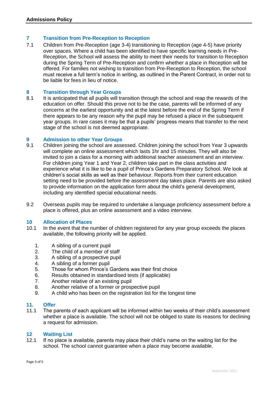### **7 Transition from Pre-Reception to Reception**

7.1 Children from Pre-Reception (age 3-4) transitioning to Reception (age 4-5) have priority over spaces. Where a child has been identified to have specific learning needs in Pre-Reception, the School will assess the ability to meet their needs for transition to Reception during the Spring Term of Pre-Reception and confirm whether a place in Reception will be offered. For families not wishing to transition from Pre-Reception to Reception, the school must receive a full term's notice in writing, as outlined in the Parent Contract, in order not to be liable for fees in lieu of notice.

### **8 Transition through Year Groups**

It is anticipated that all pupils will transition through the school and reap the rewards of the education on offer. Should this prove not to be the case, parents will be informed of any concerns at the earliest opportunity and at the latest before the end of the Spring Term if there appears to be any reason why the pupil may be refused a place in the subsequent year groups. In rare cases it may be that a pupils' progress means that transfer to the next stage of the school is not deemed appropriate.

### **9 Admission to other Year Groups**

- 9.1 Children joining the school are assessed. Children joining the school from Year 3 upwards will complete an online assessment which lasts 1hr and 15 minutes. They will also be invited to join a class for a morning with additional teacher assessment and an interview. For children joing Year 1 and Year 2, children take part in the class activities and experience what it is like to be a pupil of Prince's Gardens Preparatory School. We look at children's social skills as well as their behaviour. Reports from their current education setting need to be provided before the assessment day takes place. Parents are also asked to provide information on the application form about the child's general development, including any identified special educational needs.
- 9.2 Overseas pupils may be required to undertake a language proficiency assessment before a place is offered, plus an online assessment and a video interview.

#### **10 Allocation of Places**

- 10.1 In the event that the number of children registered for any year group exceeds the places available, the following priority will be applied.
	- 1. A sibling of a current pupil
	- 2. The child of a member of staff
	- 3. A sibling of a prospective pupil
	- 4. A sibling of a former pupil
	- 5. Those for whom Prince's Gardens was their first choice
	- 6. Results obtained in standardised tests (if applicable)
	- 7. Another relative of an existing pupil
	- 8. Another relative of a former or prospective pupil
	- 9. A child who has been on the registration list for the longest time

#### **11. Offer**

11.1 The parents of each applicant will be informed within two weeks of their child's assessment whether a place is available. The school will not be obliged to state its reasons for declining a request for admission.

### **12 Waiting List**

If no place is available, parents may place their child's name on the waiting list for the school. The school cannot guarantee when a place may become available.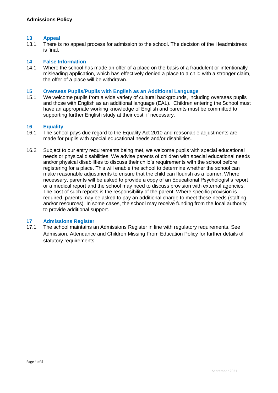### **13 Appeal**

There is no appeal process for admission to the school. The decision of the Headmistress is final.

#### **14 False Information**

14.1 Where the school has made an offer of a place on the basis of a fraudulent or intentionally misleading application, which has effectively denied a place to a child with a stronger claim, the offer of a place will be withdrawn.

#### **15 Overseas Pupils/Pupils with English as an Additional Language**

15.1 We welcome pupils from a wide variety of cultural backgrounds, including overseas pupils and those with English as an additional language (EAL). Children entering the School must have an appropriate working knowledge of English and parents must be committed to supporting further English study at their cost, if necessary.

### **16 Equality**

- 16.1 The school pays due regard to the Equality Act 2010 and reasonable adjustments are made for pupils with special educational needs and/or disabilities.
- 16.2 Subject to our entry requirements being met, we welcome pupils with special educational needs or physical disabilities. We advise parents of children with special educational needs and/or physical disabilities to discuss their child's requirements with the school before registering for a place. This will enable the school to determine whether the school can make reasonable adjustments to ensure that the child can flourish as a learner. Where necessary, parents will be asked to provide a copy of an Educational Psychologist's report or a medical report and the school may need to discuss provision with external agencies. The cost of such reports is the responsibility of the parent. Where specific provision is required, parents may be asked to pay an additional charge to meet these needs (staffing and/or resources). In some cases, the school may receive funding from the local authority to provide additional support.

### **17 Admissions Register**

The school maintains an Admissions Register in line with regulatory requirements. See Admission, Attendance and Children Missing From Education Policy for further details of statutory requirements.